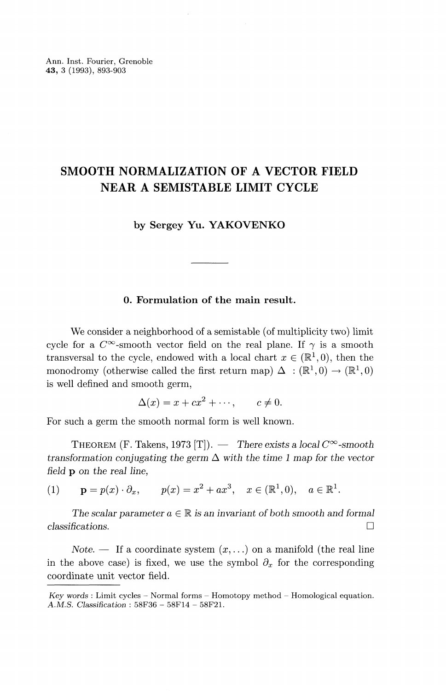Ann. Inst. Fourier, Grenoble **43,** 3 (1993), 893-903

# **SMOOTH NORMALIZATION OF A VECTOR FIELD NEAR A SEMISTABLE LIMIT CYCLE**

by Sergey Yu. **YAKOVENKO**

# **0. Formulation of the main result.**

We consider a neighborhood of a semistable (of multiplicity two) limit cycle for a  $C^{\infty}$ -smooth vector field on the real plane. If  $\gamma$  is a smooth transversal to the cycle, endowed with a local chart  $x \in (\mathbb{R}^1, 0)$ , then the monodromy (otherwise called the first return map)  $\Delta$  :  $(\mathbb{R}^1,0) \rightarrow (\mathbb{R}^1,0)$ is well defined and smooth germ,

$$
\Delta(x) = x + cx^2 + \cdots, \qquad c \neq 0.
$$

For such a germ the smooth normal form is well known.

THEOREM (F. Takens, 1973 [T]).  $-$  There exists a local  $C^{\infty}$ -smooth *transformation conjugating the germ*  $\Delta$  with the time 1 map for the vector *field* p *on the real line,*

(1) 
$$
\mathbf{p} = p(x) \cdot \partial_x
$$
,  $p(x) = x^2 + ax^3$ ,  $x \in (\mathbb{R}^1, 0)$ ,  $a \in \mathbb{R}^1$ .

The scalar parameter  $a \in \mathbb{R}$  is an invariant of both smooth and formal *classifications.* D

Note. — If a coordinate system  $(x, \ldots)$  on a manifold (the real line in the above case) is fixed, we use the symbol  $\partial_x$  for the corresponding coordinate unit vector field.

*Key words :* Limit cycles - Normal forms - Homotopy method - Homological equation. A.M.S. *Classification :* 58F36 - 58F14 - 58F21.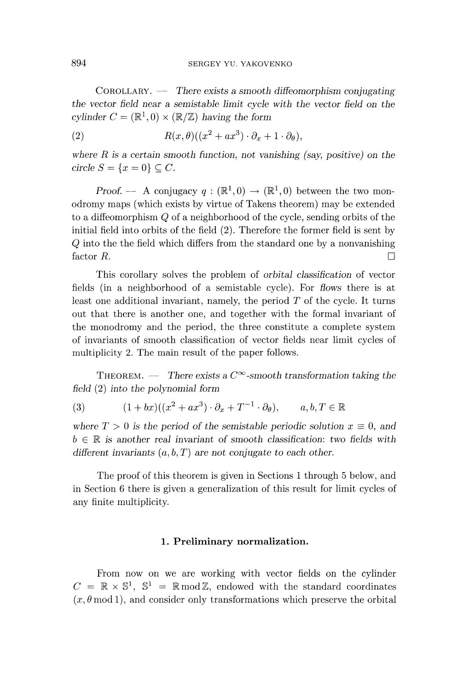COROLLARY. — There exists a *smooth diffeomorphism conjugating the vector field near a semistable limit cycle with the vector field on the*  $cylinder C = (\mathbb{R}^1, 0) \times (\mathbb{R}/\mathbb{Z})$  having the form

(2) 
$$
R(x,\theta)((x^2+ax^3)\cdot\partial_x+1\cdot\partial_{\theta}),
$$

where *R is a certain smooth function, not vanishing (say, positive) on the circle S* =  $\{x = 0\} \subset C$ .

*Proof.* — A conjugacy  $q : (\mathbb{R}^1, 0) \to (\mathbb{R}^1, 0)$  between the two monodromy maps (which exists by virtue of Takens theorem) may be extended to a diffeomorphism Q of a neighborhood of the cycle, sending orbits of the initial field into orbits of the field (2). Therefore the former field is sent by *Q* into the the field which differs from the standard one by a nonvanishing factor  $R$ .

This corollary solves the problem of *orbital classification* of vector fields (in a neighborhood of a semistable cycle). For *flows* there is at least one additional invariant, namely, the period *T* of the cycle. It turns out that there is another one, and together with the formal invariant of the monodromy and the period, the three constitute a complete system of invariants of smooth classification of vector fields near limit cycles of multiplicity 2. The main result of the paper follows.

THEOREM. — There exists a  $C^{\infty}$ -smooth transformation taking the *field* (2) *into the polynomial form*

(3) 
$$
(1+bx)((x^2+ax^3)\cdot \partial_x + T^{-1}\cdot \partial_{\theta}), \qquad a, b, T \in \mathbb{R}
$$

where  $T > 0$  is the period of the semistable periodic solution  $x \equiv 0$ , and  $b \in \mathbb{R}$  is another real invariant of smooth classification: two fields with *different invariants* (a, 6, *T) are not conjugate to each other.*

The proof of this theorem is given in Sections 1 through 5 below, and in Section 6 there is given a generalization of this result for limit cycles of any finite multiplicity.

#### **1. Preliminary normalization.**

From now on we are working with vector fields on the cylinder  $C = \mathbb{R} \times \mathbb{S}^1$ ,  $\mathbb{S}^1 = \mathbb{R} \text{ mod } \mathbb{Z}$ , endowed with the standard coordinates  $(x, \theta \mod 1)$ , and consider only transformations which preserve the orbital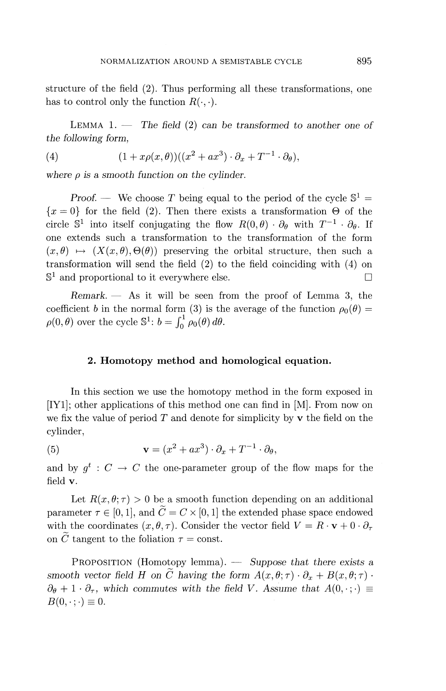structure of the field (2). Thus performing all these transformations, one has to control only the function  $R(\cdot, \cdot)$ .

LEMMA 1. — The *field* (2) *can be transformed to another one of the following form,*

(4) 
$$
(1+x\rho(x,\theta))((x^2+ax^3)\cdot\partial_x+T^{-1}\cdot\partial_{\theta}),
$$

where *p is a smooth function on the cylinder.*

*Proof.* — We choose T being equal to the period of the cycle  $\mathbb{S}^1$  =  ${x = 0}$  for the field (2). Then there exists a transformation  $\Theta$  of the circle  $\mathbb{S}^1$  into itself conjugating the flow  $R(0,\theta) \cdot \partial_\theta$  with  $T^{-1} \cdot \partial_\theta$ . If one extends such a transformation to the transformation of the form  $(x,\theta) \mapsto (X(x,\theta),\Theta(\theta))$  preserving the orbital structure, then such a transformation will send the field (2) to the field coinciding with (4) on  $\mathbb{S}^1$  and proportional to it everywhere else.

*Remark. —* As it will be seen from the proof of Lemma 3, the coefficient *b* in the normal form (3) is the average of the function  $\rho_0(\theta)$  =  $\rho(0,\theta)$  over the cycle  $\mathbb{S}^1$ :  $b = \int_0^1 \rho_0(\theta) d\theta$ .

### **2. Homotopy method and homological equation.**

In this section we use the homotopy method in the form exposed in [IY1]; other applications of this method one can find in [M]. From now on we fix the value of period  $T$  and denote for simplicity by  $\bf{v}$  the field on the cylinder,

(5) 
$$
\mathbf{v} = (x^2 + ax^3) \cdot \partial_x + T^{-1} \cdot \partial_{\theta},
$$

and by  $g^t : C \to C$  the one-parameter group of the flow maps for the field v.

Let  $R(x, \theta; \tau) > 0$  be a smooth function depending on an additional parameter  $\tau \in [0,1]$ , and  $\tilde{C} = C \times [0,1]$  the extended phase space endowed with the coordinates  $(x, \theta, \tau)$ . Consider the vector field  $V = R \cdot \mathbf{v} + 0 \cdot \partial_{\tau}$ on  $\tilde{C}$  tangent to the foliation  $\tau = \text{const.}$ 

PROPOSITION (Homotopy lemma). — *Suppose that there exists a smooth vector field H on*  $\tilde{C}$  *having the form*  $A(x, \theta; \tau) \cdot \partial_x + B(x, \theta; \tau) \cdot$  $\partial_{\theta} + 1 \cdot \partial_{\tau}$ , which commutes with the field V. Assume that  $A(0, \cdot; \cdot) \equiv$  $B(0,\cdot;\cdot)\equiv 0.$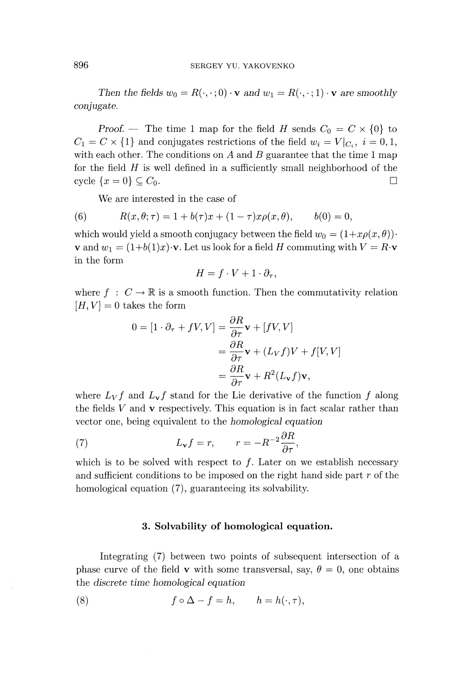### 896 SERGEY YU. YAKOVENKO

*Then the fields*  $w_0 = R(\cdot, \cdot; 0) \cdot \mathbf{v}$  and  $w_1 = R(\cdot, \cdot; 1) \cdot \mathbf{v}$  are smoothly *conjugate.*

*Proof.* — The time 1 map for the field H sends  $C_0 = C \times \{0\}$  to  $C_1 = C \times \{1\}$  and conjugates restrictions of the field  $w_i = V|_{C_i}$ ,  $i = 0,1$ , with each other. The conditions on A and B guarantee that the time 1 map for the field *H* is well defined in a sufficiently small neighborhood of the cycle  $\{x = 0\} \subseteq C_0$ .

We are interested in the case of

(6) 
$$
R(x, \theta; \tau) = 1 + b(\tau)x + (1 - \tau)x\rho(x, \theta), \qquad b(0) = 0,
$$

which would yield a smooth conjugacy between the field  $w_0 = (1 + x \rho(x, \theta))$ <sup>'</sup> **v** and  $w_1 = (1+b(1)x)\cdot$ **v**. Let us look for a field H commuting with  $V = R\cdot$ **v** in the form

$$
H = f \cdot V + 1 \cdot \partial_{\tau},
$$

where  $f : C \to \mathbb{R}$  is a smooth function. Then the commutativity relation  $[H, V] = 0$  takes the form

$$
0 = [1 \cdot \partial_{\tau} + fV, V] = \frac{\partial R}{\partial \tau} \mathbf{v} + [fV, V]
$$
  
=  $\frac{\partial R}{\partial \tau} \mathbf{v} + (L_V f) V + f[V, V]$   
=  $\frac{\partial R}{\partial \tau} \mathbf{v} + R^2 (L_V f) \mathbf{v},$ 

where  $L_V f$  and  $L_V f$  stand for the Lie derivative of the function f along the fields *V* and v respectively. This equation is in fact scalar rather than vector one, being equivalent to the *homological equation*

(7) 
$$
L_{\mathbf{v}}f = r, \qquad r = -R^{-2}\frac{\partial R}{\partial \tau},
$$

which is to be solved with respect to  $f$ . Later on we establish necessary and sufficient conditions to be imposed on the right hand side part *r* of the homological equation (7), guaranteeing its solvability.

#### **3. Solvability of homological equation.**

Integrating (7) between two points of subsequent intersection of a phase curve of the field **v** with some transversal, say,  $\theta = 0$ , one obtains the *discrete time homological equation*

(8) 
$$
f \circ \Delta - f = h, \qquad h = h(\cdot, \tau),
$$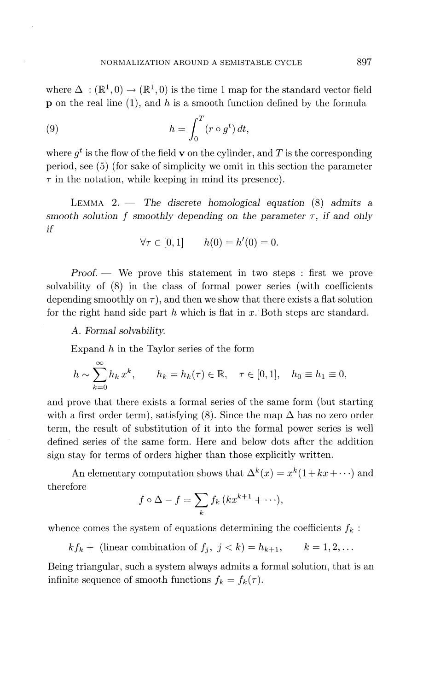where  $\Delta$ :  $(\mathbb{R}^1, 0) \rightarrow (\mathbb{R}^1, 0)$  is the time 1 map for the standard vector field p on the real line (1), and h is a smooth function defined by the formula

(9) 
$$
h = \int_0^T (r \circ g^t) dt,
$$

where  $q^t$  is the flow of the field **v** on the cylinder, and T is the corresponding period, see (5) (for sake of simplicity we omit in this section the parameter  $\tau$  in the notation, while keeping in mind its presence).

LEMMA 2. — The *discrete homological equation* (8) *admits a smooth solution f smoothly depending on the parameter r, if and only if*

$$
\forall \tau \in [0, 1] \qquad h(0) = h'(0) = 0.
$$

*Proof. —* We prove this statement in two steps : first we prove solvability of (8) in the class of formal power series (with coefficients depending smoothly on  $\tau$ ), and then we show that there exists a flat solution for the right hand side part h which is flat in x. Both steps are standard.

A. *Formal solvability.*

Expand *h* in the Taylor series of the form

$$
h \sim \sum_{k=0}^{\infty} h_k x^k, \qquad h_k = h_k(\tau) \in \mathbb{R}, \quad \tau \in [0,1], \quad h_0 \equiv h_1 \equiv 0,
$$

and prove that there exists a formal series of the same form (but starting with a first order term), satisfying (8). Since the map  $\Delta$  has no zero order term, the result of substitution of it into the formal power series is well defined series of the same form. Here and below dots after the addition sign stay for terms of orders higher than those explicitly written.

An elementary computation shows that  $\Delta^k(x) = x^k(1 + kx + \cdots)$  and therefore

$$
f\circ\Delta-f=\sum_{k}f_{k}\left( kx^{k+1}+\cdots\right),
$$

whence comes the system of equations determining the coefficients  $f_k$ :

 $kf_k +$  (linear combination of  $f_j, j < k$ ) =  $h_{k+1},$   $k = 1, 2, ...$ 

Being triangular, such a system always admits a formal solution, that is an infinite sequence of smooth functions  $f_k = f_k(\tau)$ .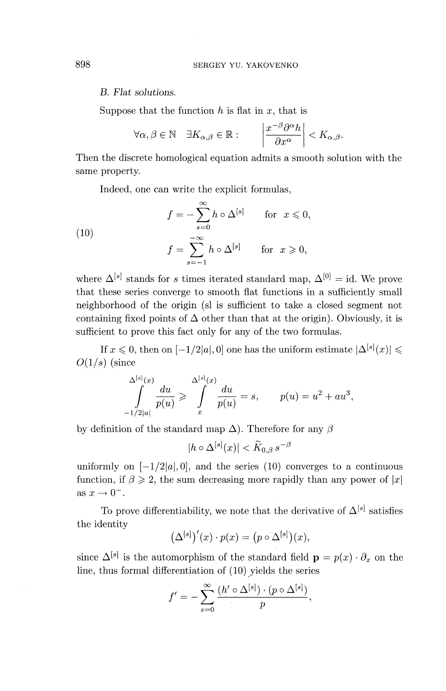#### *B. Flat solutions.*

Suppose that the function *h* is flat in *x,* that is

$$
\forall \alpha, \beta \in \mathbb{N} \quad \exists K_{\alpha,\beta} \in \mathbb{R} : \qquad \left| \frac{x^{-\beta} \partial^{\alpha} h}{\partial x^{\alpha}} \right| < K_{\alpha,\beta}.
$$

Then the discrete homological equation admits a smooth solution with the same property.

Indeed, one can write the explicit formulas,

(10)  
\n
$$
f = -\sum_{s=0}^{\infty} h \circ \Delta^{[s]} \quad \text{for } x \leq 0,
$$
\n
$$
f = \sum_{s=-1}^{-\infty} h \circ \Delta^{[s]} \quad \text{for } x \geq 0,
$$

where  $\Delta^{[s]}$  stands for *s* times iterated standard map,  $\Delta^{[0]} = id$ . We prove that these series converge to smooth flat functions in a sufficiently small neighborhood of the origin (sl is sufficient to take a closed segment not containing fixed points of  $\Delta$  other than that at the origin). Obviously, it is sufficient to prove this fact only for any of the two formulas.

If  $x \leq 0$ , then on  $[-1/2|a|, 0]$  one has the uniform estimate  $|\Delta^{[s]}(x)| \leq$  $O(1/s)$  (since

$$
\int_{-1/2|a|}^{\Delta^{[s]}(x)} \frac{du}{p(u)} \geqslant \int_{x}^{\Delta^{[s]}(x)} \frac{du}{p(u)} = s, \qquad p(u) = u^2 + au^3,
$$

by definition of the standard map  $\Delta$ ). Therefore for any  $\beta$ 

$$
|h\circ\Delta^{[s]}(x)|<\widetilde{K}_{0,\beta}\,s^{-\beta}
$$

uniformly on  $[-1/2|a|,0]$ , and the series (10) converges to a continuous function, if  $\beta \geq 2$ , the sum decreasing more rapidly than any power of  $|x|$ as  $x \to 0^-$ .

To prove differentiability, we note that the derivative of  $\Delta^{[s]}$  satisfies the identity

$$
(\Delta^{[s]})'(x)\cdot p(x) = (p\circ \Delta^{[s]})(x),
$$

since  $\Delta^{[s]}$  is the automorphism of the standard field  $\mathbf{p} = p(x) \cdot \partial_x$  on the line, thus formal differentiation of (10) yields the series

$$
f' = -\sum_{s=0}^{\infty} \frac{(h' \circ \Delta^{[s]}) \cdot (p \circ \Delta^{[s]})}{p},
$$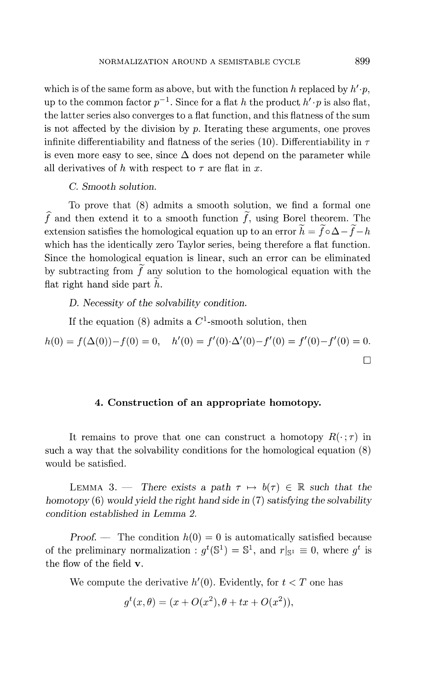which is of the same form as above, but with the function  $h$  replaced by  $h' \cdot p$ , up to the common factor  $p^{-1}$ . Since for a flat *h* the product  $h' \cdot p$  is also flat, the latter series also converges to a flat function, and this flatness of the sum is not affected by the division by *p.* Iterating these arguments, one proves infinite differentiability and flatness of the series  $(10)$ . Differentiability in  $\tau$ is even more easy to see, since  $\Delta$  does not depend on the parameter while all derivatives of h with respect to  $\tau$  are flat in x.

## *C. Smooth solution.*

To prove that (8) admits a smooth solution, we find a formal one  $\widehat{f}$  and then extend it to a smooth function  $\widehat{f}$ , using Borel theorem. The extension satisfies the homological equation up to an error  $h = f \circ \Delta - f - h$ which has the identically zero Taylor series, being therefore a flat function. Since the homological equation is linear, such an error can be eliminated by subtracting from  $f$  any solution to the homological equation with the flat right hand side part *h.*

*D. Necessity of the solvability condition.*

If the equation (8) admits a  $C^1$ -smooth solution, then

$$
h(0) = f(\Delta(0)) - f(0) = 0, \quad h'(0) = f'(0) \cdot \Delta'(0) - f'(0) = f'(0) - f'(0) = 0.
$$

#### **4. Construction of an appropriate homotopy.**

It remains to prove that one can construct a homotopy  $R(\cdot;\tau)$  in such a way that the solvability conditions for the homological equation (8) would be satisfied.

LEMMA 3. — There exists a path  $\tau \mapsto b(\tau) \in \mathbb{R}$  such that the *homotopy* (6) *would yield the right hand side in* (7) *satisfying the solvability condition established in Lemma 2.*

*Proof.* — The condition  $h(0) = 0$  is automatically satisfied because of the preliminary normalization :  $g^t(\mathbb{S}^1) = \mathbb{S}^1$ , and  $r|_{\mathbb{S}^1} \equiv 0$ , where  $g^t$  is the flow of the field **v**.

We compute the derivative  $h'(0)$ . Evidently, for  $t < T$  one has

$$
g^{t}(x, \theta) = (x + O(x^{2}), \theta + tx + O(x^{2})),
$$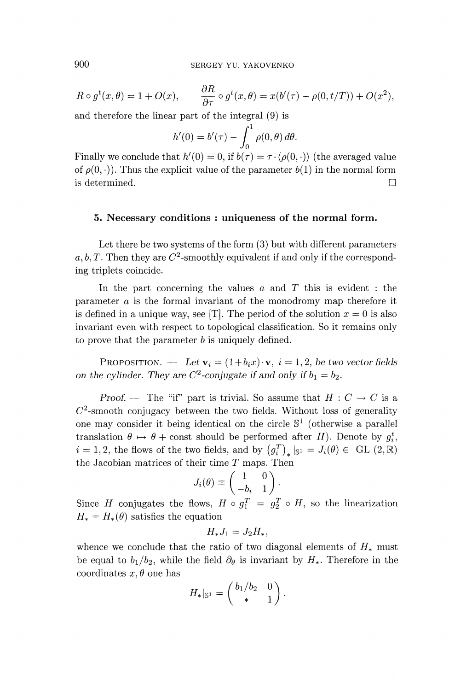$$
R \circ g^t(x,\theta) = 1 + O(x), \qquad \frac{\partial R}{\partial \tau} \circ g^t(x,\theta) = x(b'(\tau) - \rho(0,t/T)) + O(x^2),
$$

and therefore the linear part of the integral (9) is  
\n
$$
h'(0) = b'(\tau) - \int_0^1 \rho(0,\theta) d\theta.
$$

Finally we conclude that  $h'(0) = 0$ , if  $b(\tau) = \tau \cdot \langle \rho(0, \cdot) \rangle$  (the averaged value of  $\rho(0, \cdot)$ . Thus the explicit value of the parameter  $b(1)$  in the normal form is determined. D

#### **5. Necessary conditions : uniqueness of the normal** *form.*

Let there be two systems of the form (3) but with different parameters a, b, T. Then they are  $C^2$ -smoothly equivalent if and only if the corresponding triplets coincide.

In the part concerning the values *a* and *T* this is evident : the parameter *a* is the formal invariant of the monodromy map therefore it is defined in a unique way, see [T]. The period of the solution  $x = 0$  is also invariant even with respect to topological classification. So it remains only to prove that the parameter *b* is uniquely defined.

PROPOSITION. — Let  $\mathbf{v}_i = (1+b_ix)\cdot \mathbf{v}$ ,  $i = 1,2$ , be two vector fields *on the cylinder. They are C<sup>2</sup>-conjugate if and only if*  $b_1 = b_2$ .

*Proof.* — The "if" part is trivial. So assume that  $H: C \to C$  is a  $C<sup>2</sup>$ -smooth conjugacy between the two fields. Without loss of generality one may consider it being identical on the circle  $\mathbb{S}^1$  (otherwise a parallel translation  $\theta \mapsto \theta$  + const should be performed after *H*). Denote by  $g_i^t$ ,  $i = 1, 2$ , the flows of the two fields, and by  $(g_i^T)_*|_{\mathbb{S}^1} = J_i(\theta) \in GL(2,\mathbb{R})$ the Jacobian matrices of their time *T* maps. Then  $J_i(\theta) \equiv \begin{pmatrix} 1 & 0 \\ -b_i & 1 \end{pmatrix}$ .

$$
J_i(\theta) \equiv \begin{pmatrix} 1 & 0 \\ -b_i & 1 \end{pmatrix}.
$$

Since *H* conjugates the flows,  $H \circ g_1^T = g_2^T \circ H$ , so the linearization  $H^* = H^*(\theta)$  satisfies the equation

$$
H_*J_1 = J_2H_*,
$$

whence we conclude that the ratio of two diagonal elements of  $H_*$  must be equal to  $b_1/b_2$ , while the field  $\partial_\theta$  is invariant by  $H_*$ . Therefore in the coordinates  $x, \theta$  one has

$$
H_*|_{\mathbb{S}^1} = \begin{pmatrix} b_1/b_2 & 0 \\ * & 1 \end{pmatrix}.
$$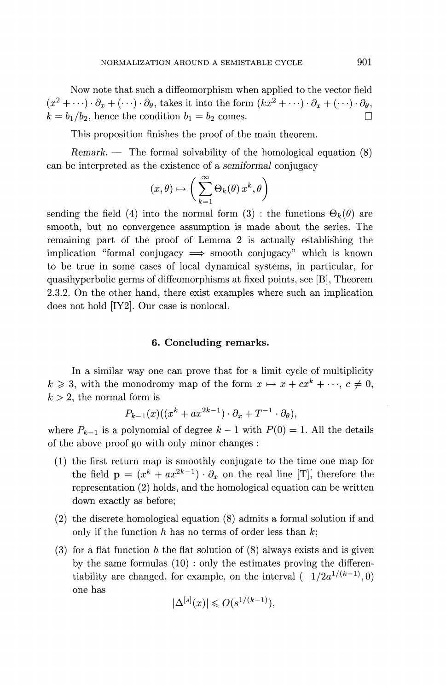Now note that such a diffeomorphism when applied to the vector field  $(x^2 + \cdots) \cdot \partial_x + (\cdots) \cdot \partial_{\theta}$ , takes it into the form  $(kx^2 + \cdots) \cdot \partial_x + (\cdots) \cdot \partial_{\theta}$ ,  $k = b_1/b_2$ , hence the condition  $b_1 = b_2$  comes.  $\Box$ 

This proposition finishes the proof of the main theorem.

*Remark. —* The formal solvability of the homological equation (8) can be interpreted as the existence of a *semi formal* conjugacy

$$
(x,\theta)\mapsto \bigg(\sum_{k=1}^\infty \Theta_k(\theta)\, x^k, \theta\bigg)
$$

sending the field (4) into the normal form (3) : the functions  $\Theta_k(\theta)$  are smooth, but no convergence assumption is made about the series. The remaining part of the proof of Lemma 2 is actually establishing the implication "formal conjugacy  $\implies$  smooth conjugacy" which is known to be true in some cases of local dynamical systems, in particular, for quasihyperbolic germs of diffeomorphisms at fixed points, see [B], Theorem 2.3.2. On the other hand, there exist examples where such an implication does not hold [IY2]. Our case is nonlocal.

### **6. Concluding remarks.**

In a similar way one can prove that for a limit cycle of multiplicity  $k \geqslant 3$ , with the monodromy map of the form  $x \mapsto x + cx^k + \cdots, c \neq 0$ .  $k > 2$ , the normal form is

$$
P_{k-1}(x)((x^k + ax^{2k-1}) \cdot \partial_x + T^{-1} \cdot \partial_\theta),
$$

where  $P_{k-1}$  is a polynomial of degree  $k-1$  with  $P(0) = 1$ . All the details of the above proof go with only minor changes :

- (1) the first return map is smoothly conjugate to the time one map for the field  $\mathbf{p} = (x^k + ax^{2k-1}) \cdot \partial_x$  on the real line [T], therefore the representation (2) holds, and the homological equation can be written down exactly as before;
- (2) the discrete homological equation (8) admits a formal solution if and only if the function *h* has no terms of order less than *k;*
- (3) for a flat function *h* the flat solution of (8) always exists and is given by the same formulas (10) : only the estimates proving the differentiability are changed, for example, on the interval  $\left(-\frac{1}{2}a^{1/(k-1)}, 0\right)$ one has

$$
|\Delta^{[s]}(x)| \leqslant O(s^{1/(k-1)}),
$$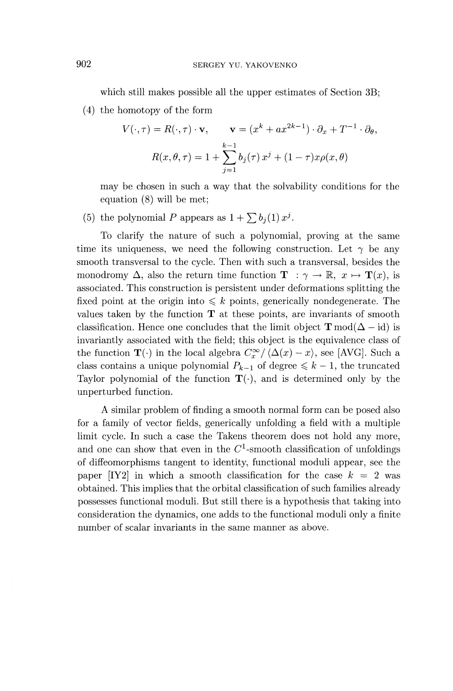which still makes possible all the upper estimates of Section 3B;

(4) the homotopy of the form

$$
V(\cdot, \tau) = R(\cdot, \tau) \cdot \mathbf{v}, \qquad \mathbf{v} = (x^k + ax^{2k-1}) \cdot \partial_x + T^{-1} \cdot \partial_\theta,
$$

$$
R(x, \theta, \tau) = 1 + \sum_{j=1}^{k-1} b_j(\tau) x^j + (1 - \tau) x \rho(x, \theta)
$$

may be chosen in such a way that the solvability conditions for the equation (8) will be met;

(5) the polynomial P appears as  $1 + \sum b_j(1)x^j$ .

To clarify the nature of such a polynomial, proving at the same time its uniqueness, we need the following construction. Let  $\gamma$  be any smooth transversal to the cycle. Then with such a transversal, besides the monodromy  $\Delta$ , also the return time function  $\mathbf{T}$  :  $\gamma \to \mathbb{R}, x \mapsto \mathbf{T}(x)$ , is associated. This construction is persistent under deformations splitting the fixed point at the origin into  $\leq k$  points, generically nondegenerate. The values taken by the function  $T$  at these points, are invariants of smooth classification. Hence one concludes that the limit object  $\mathbf{T} \text{mod}(\Delta - \text{id})$  is invariantly associated with the field; this object is the equivalence class of the function  $\mathbf{T}(\cdot)$  in the local algebra  $C^{\infty}_{x}/ \langle \Delta(x) - x \rangle$ , see [AVG]. Such a class contains a unique polynomial  $P_{k-1}$  of degree  $\leq k - 1$ , the truncated Taylor polynomial of the function  $\mathbf{T}(\cdot)$ , and is determined only by the unperturbed function.

A similar problem of finding a smooth normal form can be posed also for a family of vector fields, generically unfolding a field with a multiple limit cycle. In such a case the Takens theorem does not hold any more, and one can show that even in the  $C<sup>1</sup>$ -smooth classification of unfoldings of diffeomorphisms tangent to identity, functional moduli appear, see the paper  $[1Y2]$  in which a smooth classification for the case  $k = 2$  was obtained. This implies that the orbital classification of such families already possesses functional moduli. But still there is a hypothesis that taking into consideration the dynamics, one adds to the functional moduli only a finite number of scalar invariants in the same manner as above.